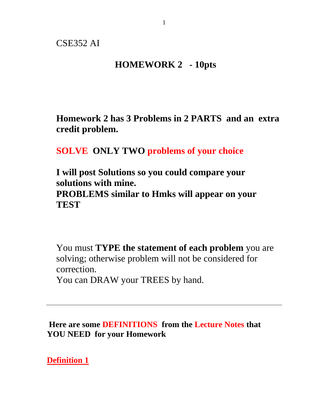### **HOMEWORK 2 - 10pts**

**Homework 2 has 3 Problems in 2 PARTS and an extra credit problem.**

# **SOLVE ONLY TWO problems of your choice**

**I will post Solutions so you could compare your solutions with mine. PROBLEMS similar to Hmks will appear on your TEST**

You must **TYPE the statement of each problem** you are solving; otherwise problem will not be considered for correction.

You can DRAW your TREES by hand.

**Here are some DEFINITIONS from the Lecture Notes that YOU NEED for your Homework**

**Definition 1**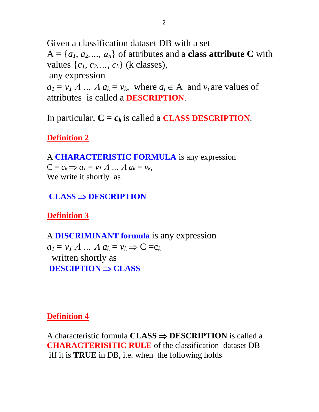Given a classification dataset DB with a set  $A = \{a_1, a_2, \ldots, a_n\}$  of attributes and a **class attribute C** with values  $\{c_1, c_2, ..., c_k\}$  (k classes), any expression  $a_1 = v_1 A$  ...  $A a_k = v_k$ , where  $a_i \in A$  and  $v_i$  are values of attributes is called a **DESCRIPTION**.

In particular,  $C = c_k$  is called a **CLASS DESCRIPTION**.

### **Definition 2**

A **CHARACTERISTIC FORMULA** is any expression

 $C = c_k \implies a_l = v_l A \dots A a_k = v_k$ We write it shortly as

### $CLASS \Rightarrow$ **DESCRIPTION**

**Definition 3**

A **DISCRIMINANT formula** is any expression  $a_1 = v_1 A ... A a_k = v_k \Rightarrow C = c_k$ written shortly as  $DESCIPTION \Rightarrow CLASS$ 

### **Definition 4**

A characteristic formula  $CLASS \Rightarrow$  DESCRIPTION is called a **CHARACTERISITIC RULE** of the classification dataset DB iff it is **TRUE** in DB, i.e. when the following holds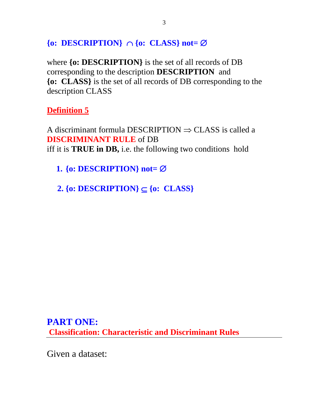### $\{o:$  **DESCRIPTION** $\}$   $\cap$   $\{o:$  **CLASS** $\}$  not=  $\emptyset$

where **{o: DESCRIPTION}** is the set of all records of DB corresponding to the description **DESCRIPTION** and **{o: CLASS}** is the set of all records of DB corresponding to the description CLASS

**Definition 5**

A discriminant formula DESCRIPTION  $\Rightarrow$  CLASS is called a **DISCRIMINANT RULE** of DB iff it is **TRUE in DB,** i.e. the following two conditions hold

**1.** { $o:$  **DESCRIPTION**} not=  $\emptyset$ 

**2.** {**o:** DESCRIPTION}  $\subset$  {**o:** CLASS}

**PART ONE: Classification: Characteristic and Discriminant Rules** 

Given a dataset: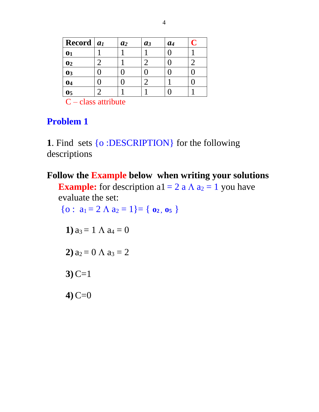| Record $ a_1 $ | a <sub>2</sub> | $a_3$ | a <sub>4</sub> |  |
|----------------|----------------|-------|----------------|--|
| $\mathbf{0}_1$ |                |       |                |  |
| $\mathbf{0}$   |                |       |                |  |
| $\mathbf{0}$   |                |       |                |  |
| 04             |                |       |                |  |
| $\mathbf{0}5$  |                |       |                |  |

 $C - class$  attribute

# **Problem 1**

**1**. Find sets {o :DESCRIPTION} for the following descriptions

### **Follow the Example below when writing your solutions**

**Example:** for description a1 = 2 a  $\Lambda$  a<sub>2</sub> = 1 you have evaluate the set:

 ${o: a_1 = 2 \land a_2 = 1} = { o_2, o_5 }$ 

1) 
$$
a_3 = 1 \land a_4 = 0
$$

**2**)  $a_2 = 0 \land a_3 = 2$ 

**3)** C=1

**4)** C=0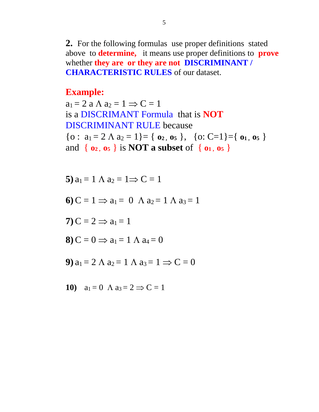**2.** For the following formulas use proper definitions stated above to **determine,** it means use proper definitions to **prove** whether **they are or they are not DISCRIMINANT / CHARACTERISTIC RULES** of our dataset.

#### **Example:**

 $a_1 = 2$  a  $\Lambda$   $a_2 = 1 \Rightarrow C = 1$ is a DISCRIMANT Formula that is **NOT**  DISCRIMINANT RULE because  $\{o: a_1 = 2 \land a_2 = 1\} = \{o_2, o_5\}, \{o: C=1\} = \{o_1, o_5\}$ and { **o2 , o5** } is **NOT a subset** of { **o1 , o5** }

5) 
$$
a_1 = 1 \land a_2 = 1 \Rightarrow C = 1
$$
  
\n6)  $C = 1 \Rightarrow a_1 = 0 \land a_2 = 1 \land a_3 = 1$   
\n7)  $C = 2 \Rightarrow a_1 = 1$   
\n8)  $C = 0 \Rightarrow a_1 = 1 \land a_4 = 0$   
\n9)  $a_1 = 2 \land a_2 = 1 \land a_3 = 1 \Rightarrow C = 0$ 

10) 
$$
a_1 = 0 \quad \text{A} \quad a_3 = 2 \implies C = 1
$$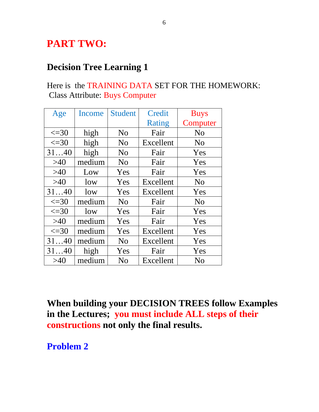# **PART TWO:**

### **Decision Tree Learning 1**

### Here is the TRAINING DATA SET FOR THE HOMEWORK: Class Attribute: Buys Computer

| Age         | <b>Income</b> | <b>Student</b> | Credit    | <b>Buys</b>    |
|-------------|---------------|----------------|-----------|----------------|
|             |               |                | Rating    | Computer       |
| $\leq$ =30  | high          | N <sub>o</sub> | Fair      | N <sub>o</sub> |
| $\leq$ =30  | high          | N <sub>o</sub> | Excellent | N <sub>o</sub> |
| 3140        | high          | N <sub>o</sub> | Fair      | Yes            |
| $>40$       | medium        | N <sub>o</sub> | Fair      | Yes            |
| >40         | Low           | Yes            | Fair      | Yes            |
| >40         | low           | Yes            | Excellent | N <sub>o</sub> |
| 3140        | low           | Yes            | Excellent | Yes            |
| $\leq$ = 30 | medium        | N <sub>o</sub> | Fair      | N <sub>o</sub> |
| $\leq$ =30  | low           | Yes            | Fair      | Yes            |
| >40         | medium        | Yes            | Fair      | Yes            |
| $\leq$ = 30 | medium        | Yes            | Excellent | Yes            |
| 3140        | medium        | N <sub>o</sub> | Excellent | Yes            |
| 3140        | high          | Yes            | Fair      | Yes            |
| >40         | medium        | N <sub>0</sub> | Excellent | N <sub>0</sub> |

**When building your DECISION TREES follow Examples in the Lectures; you must include ALL steps of their constructions not only the final results.**

**Problem 2**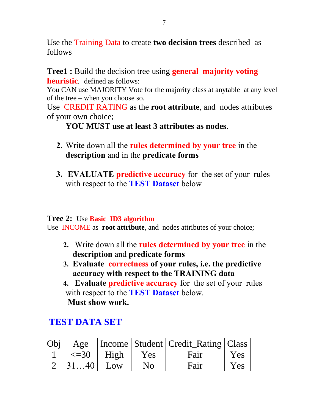Use the Training Data to create **two decision trees** described as follows

**Tree1 :** Build the decision tree using **general majority voting heuristic**, defined as follows:

You CAN use MAJORITY Vote for the majority class at anytable at any level of the tree – when you choose so.

Use CREDIT RATING as the **root attribute**, and nodes attributes of your own choice;

**YOU MUST use at least 3 attributes as nodes**.

- **2.** Write down all the **rules determined by your tree** in the **description** and in the **predicate forms**
- **3. EVALUATE predictive accuracy** for the set of your rules with respect to the **TEST Dataset** below

#### **Tree 2:** Use **Basic ID3 algorithm**

Use INCOME as **root attribute**, and nodes attributes of your choice;

- **2.** Write down all the **rules determined by your tree** in the **description** and **predicate forms**
- **3. Evaluate correctness of your rules, i.e. the predictive accuracy with respect to the TRAINING data**
- **4. Evaluate predictive accuracy** for the set of your rules with respect to the **TEST Dataset** below. **Must show work.**

## **TEST DATA SET**

| Obi | Age                |      |                | Income   Student   Credit_Rating   Class |     |
|-----|--------------------|------|----------------|------------------------------------------|-----|
|     | $\leq$ = 30        | High | Yes            | Fair                                     | Yes |
|     | $\vert 3140 \vert$ | Low  | N <sub>0</sub> | Fair                                     | Yes |